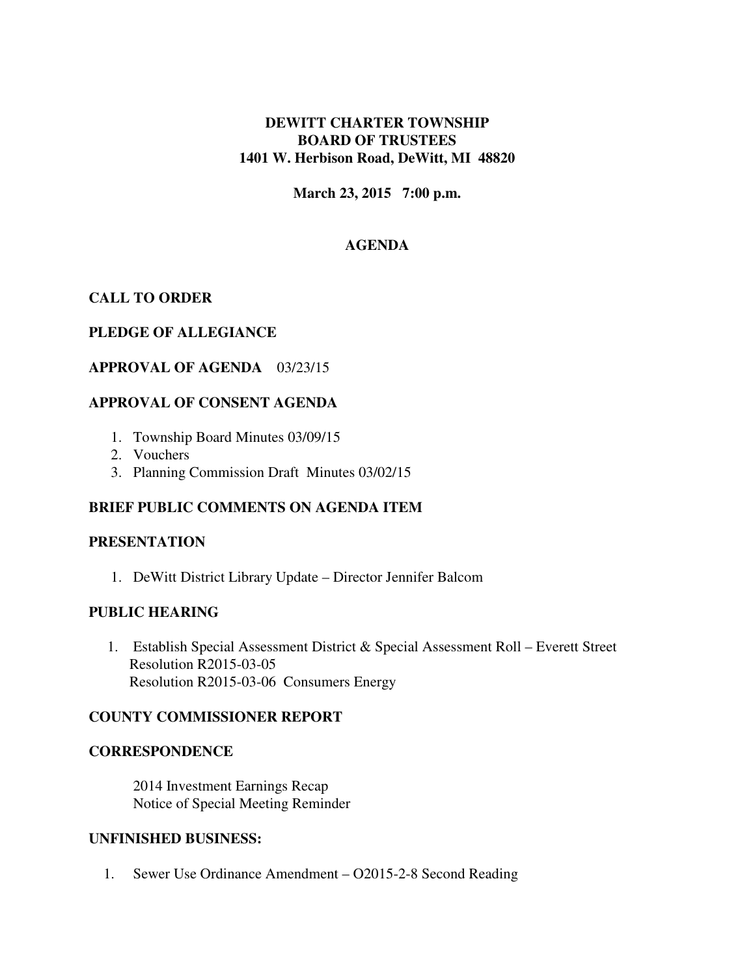### **DEWITT CHARTER TOWNSHIP BOARD OF TRUSTEES 1401 W. Herbison Road, DeWitt, MI 48820**

**March 23, 2015 7:00 p.m.** 

# **AGENDA**

# **CALL TO ORDER**

### **PLEDGE OF ALLEGIANCE**

## **APPROVAL OF AGENDA** 03/23/15

## **APPROVAL OF CONSENT AGENDA**

- 1. Township Board Minutes 03/09/15
- 2. Vouchers
- 3. Planning Commission Draft Minutes 03/02/15

### **BRIEF PUBLIC COMMENTS ON AGENDA ITEM**

### **PRESENTATION**

1. DeWitt District Library Update – Director Jennifer Balcom

### **PUBLIC HEARING**

1. Establish Special Assessment District & Special Assessment Roll – Everett Street Resolution R2015-03-05 Resolution R2015-03-06 Consumers Energy

### **COUNTY COMMISSIONER REPORT**

### **CORRESPONDENCE**

2014 Investment Earnings Recap Notice of Special Meeting Reminder

#### **UNFINISHED BUSINESS:**

1. Sewer Use Ordinance Amendment – O2015-2-8 Second Reading